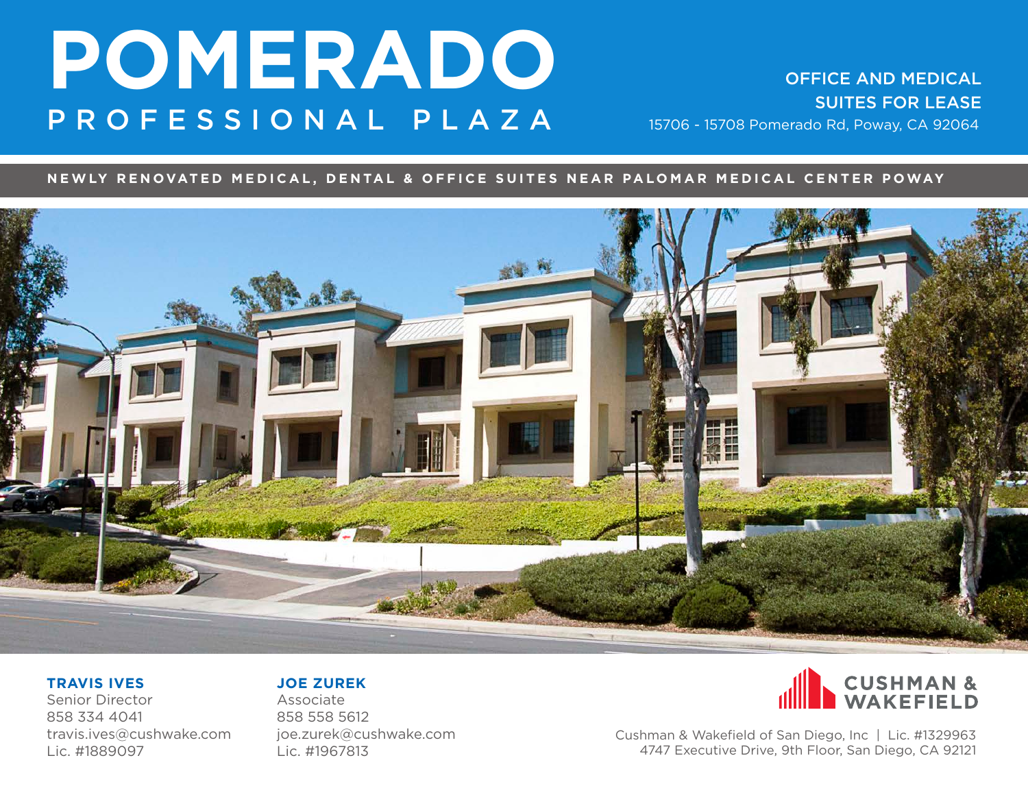SUITES FOR LEASE

### **NEWLY RENOVATED MEDICAL, DENTAL & OFFICE SUITES NEAR PALOMAR MEDICAL CENTER POWAY**



#### **TRAVIS IVES**

Senior Director 858 334 4041 travis.ives@cushwake.com Lic. #1889097

#### **JOE ZUREK**

Associate 858 558 5612 joe.zurek@cushwake.com Lic. #1967813

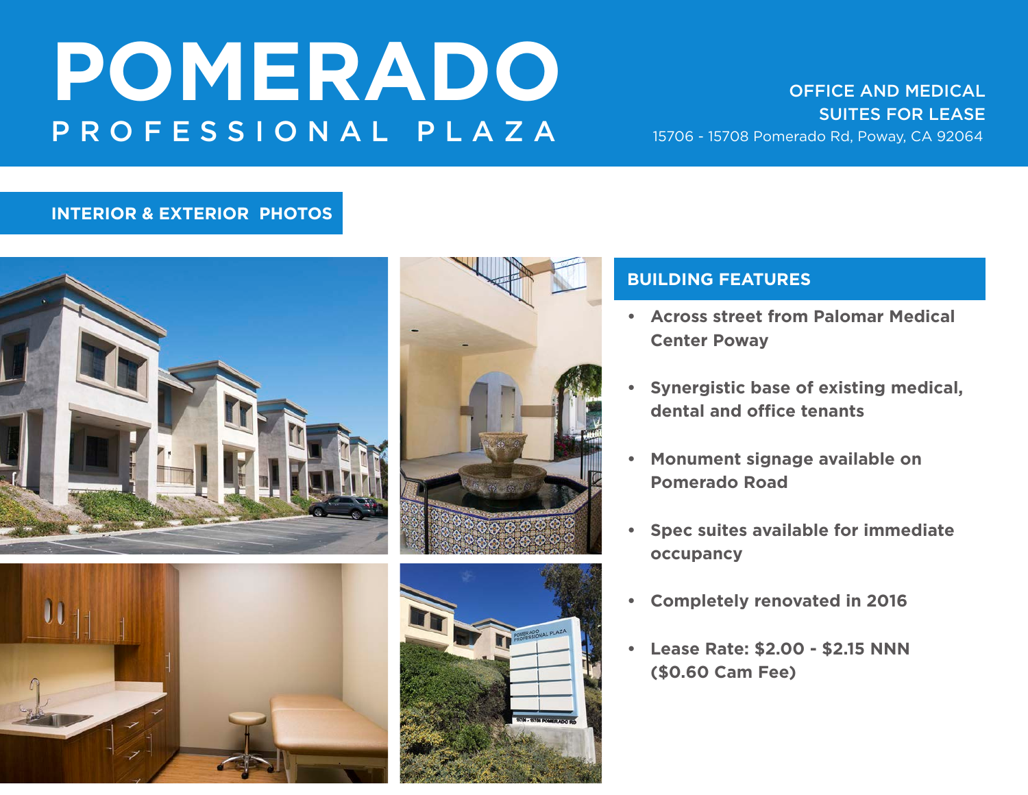# SUITES FOR LEASE

### **INTERIOR & EXTERIOR PHOTOS**







### **BUILDING FEATURES**

- **• Across street from Palomar Medical Center Poway**
- **• Synergistic base of existing medical, dental and office tenants**
- **• Monument signage available on Pomerado Road**
- **• Spec suites available for immediate occupancy**
- **• Completely renovated in 2016**
- **• Lease Rate: \$2.00 \$2.15 NNN (\$0.60 Cam Fee)**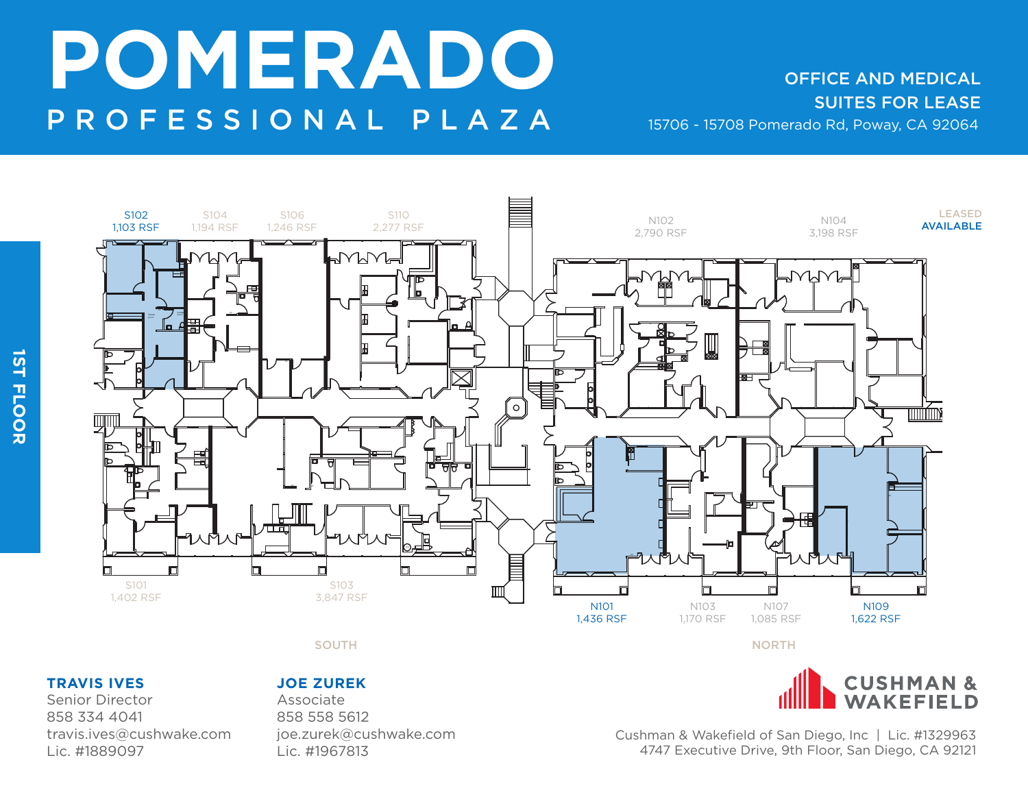SUITES FOR LEASE



SOUTH A RESIDENCE OF A RESIDENCE OF A RESIDENCE OF A RESIDENCE OF A RESIDENCE OF A RESIDENCE OF A RESIDENCE OF

### **TRAVIS IVES**

Senior Director 858 334 4041 travis.ives@cushwake.com Lic. #1889097

#### **JOE ZUREK**

Associate 858 558 5612 joe.zurek@cushwake.com Lic. #1967813

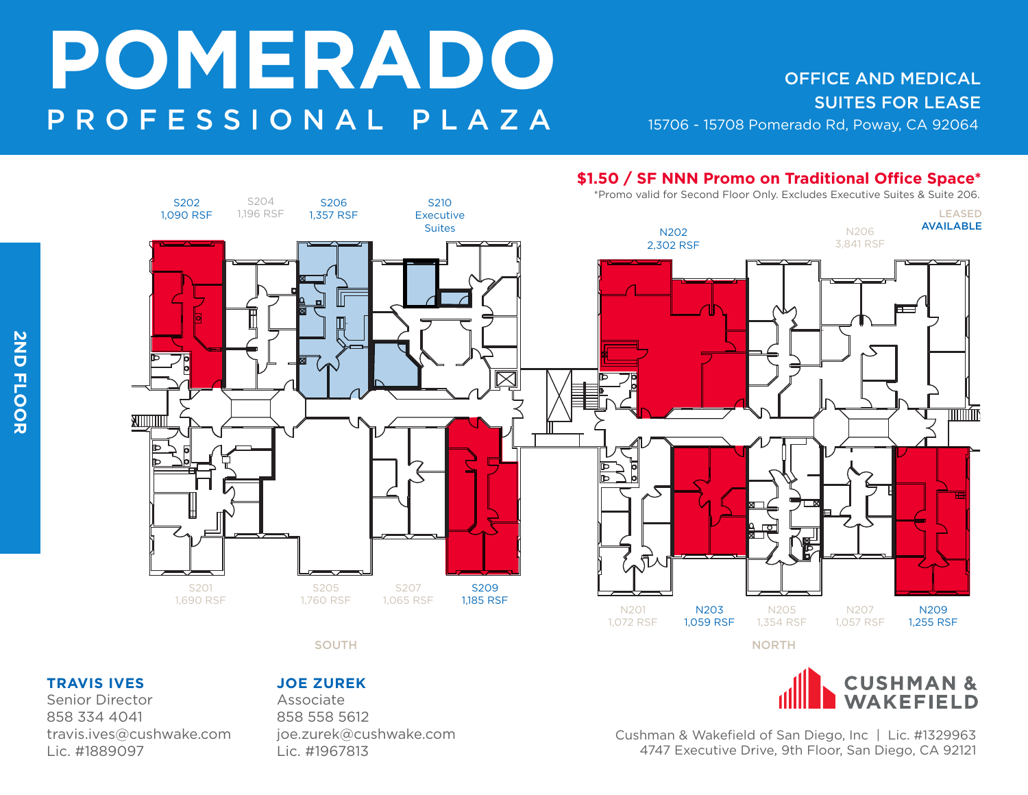#### LEASED AVAILABLE S202 1,090 RSF S206 1,357 RSF S210 Executive Suites S207 1,065 RSF S209 1,185 RSF N202 2,302 RSF N203 1,059 RSF S204 1,196 RSF S201 1,690 RSF S205 1,760 RSF N201 1,072 RSF N207 1,057 RSF N205 1,354 RSF N209 1,255 RSF N206 3,841 RSF SOUTH A RESIDENCE OF A RESIDENCE OF A RESIDENCE OF A RESIDENCE OF A RESIDENCE OF A RESIDENCE OF A RESIDENCE OF **\$1.50 / SF NNN Promo on Traditional Office Space\*** \*Promo valid for Second Floor Only. Excludes Executive Suites & Suite 206.

#### **TRAVIS IVES**

Senior Director 858 334 4041 travis.ives@cushwake.com Lic. #1889097

#### **JOE ZUREK**

Associate 858 558 5612 joe.zurek@cushwake.com Lic. #1967813